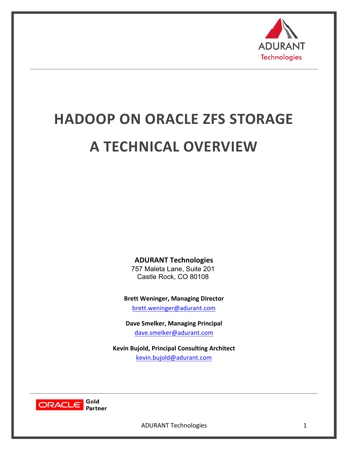

# **HADOOP ON ORACLE ZFS STORAGE A TECHNICAL OVERVIEW**

**ADURANT Technologies**

757 Maleta Lane, Suite 201 Castle Rock, CO 80108

**Brett Weninger, Managing Director**

brett.weninger@adurant.com

**Dave Smelker, Managing Principal** dave.smelker@adurant.com

**Kevin Bujold, Principal Consulting Architect** kevin.bujold@adurant.com

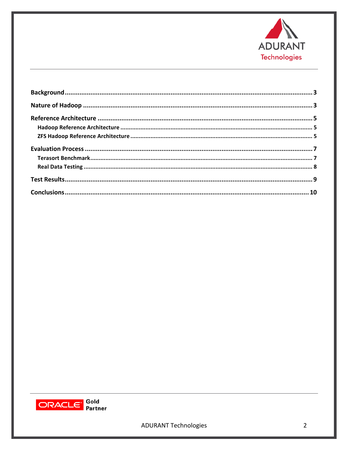

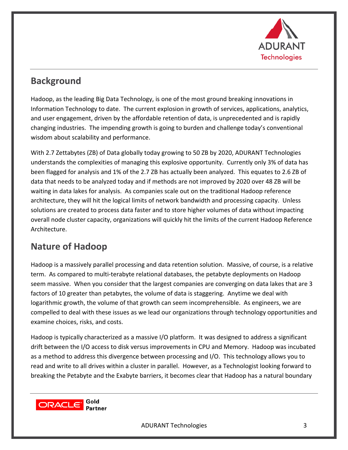

# **Background**

Hadoop, as the leading Big Data Technology, is one of the most ground breaking innovations in Information Technology to date. The current explosion in growth of services, applications, analytics, and user engagement, driven by the affordable retention of data, is unprecedented and is rapidly changing industries. The impending growth is going to burden and challenge today's conventional wisdom about scalability and performance.

With 2.7 Zettabytes (ZB) of Data globally today growing to 50 ZB by 2020, ADURANT Technologies understands the complexities of managing this explosive opportunity. Currently only 3% of data has been flagged for analysis and 1% of the 2.7 ZB has actually been analyzed. This equates to 2.6 ZB of data that needs to be analyzed today and if methods are not improved by 2020 over 48 ZB will be waiting in data lakes for analysis. As companies scale out on the traditional Hadoop reference architecture, they will hit the logical limits of network bandwidth and processing capacity. Unless solutions are created to process data faster and to store higher volumes of data without impacting overall node cluster capacity, organizations will quickly hit the limits of the current Hadoop Reference Architecture. 

# **Nature of Hadoop**

Hadoop is a massively parallel processing and data retention solution. Massive, of course, is a relative term. As compared to multi-terabyte relational databases, the petabyte deployments on Hadoop seem massive. When you consider that the largest companies are converging on data lakes that are 3 factors of 10 greater than petabytes, the volume of data is staggering. Anytime we deal with logarithmic growth, the volume of that growth can seem incomprehensible. As engineers, we are compelled to deal with these issues as we lead our organizations through technology opportunities and examine choices, risks, and costs.

Hadoop is typically characterized as a massive I/O platform. It was designed to address a significant drift between the I/O access to disk versus improvements in CPU and Memory. Hadoop was incubated as a method to address this divergence between processing and I/O. This technology allows you to read and write to all drives within a cluster in parallel. However, as a Technologist looking forward to breaking the Petabyte and the Exabyte barriers, it becomes clear that Hadoop has a natural boundary

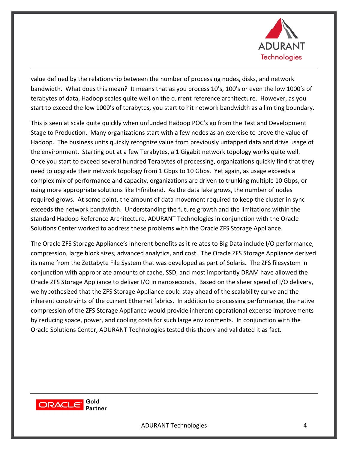

value defined by the relationship between the number of processing nodes, disks, and network bandwidth. What does this mean? It means that as you process 10's, 100's or even the low 1000's of terabytes of data, Hadoop scales quite well on the current reference architecture. However, as you start to exceed the low 1000's of terabytes, you start to hit network bandwidth as a limiting boundary.

This is seen at scale quite quickly when unfunded Hadoop POC's go from the Test and Development Stage to Production. Many organizations start with a few nodes as an exercise to prove the value of Hadoop. The business units quickly recognize value from previously untapped data and drive usage of the environment. Starting out at a few Terabytes, a 1 Gigabit network topology works quite well. Once you start to exceed several hundred Terabytes of processing, organizations quickly find that they need to upgrade their network topology from 1 Gbps to 10 Gbps. Yet again, as usage exceeds a complex mix of performance and capacity, organizations are driven to trunking multiple 10 Gbps, or using more appropriate solutions like Infiniband. As the data lake grows, the number of nodes required grows. At some point, the amount of data movement required to keep the cluster in sync exceeds the network bandwidth. Understanding the future growth and the limitations within the standard Hadoop Reference Architecture, ADURANT Technologies in conjunction with the Oracle Solutions Center worked to address these problems with the Oracle ZFS Storage Appliance.

The Oracle ZFS Storage Appliance's inherent benefits as it relates to Big Data include I/O performance, compression, large block sizes, advanced analytics, and cost. The Oracle ZFS Storage Appliance derived its name from the Zettabyte File System that was developed as part of Solaris. The ZFS filesystem in conjunction with appropriate amounts of cache, SSD, and most importantly DRAM have allowed the Oracle ZFS Storage Appliance to deliver I/O in nanoseconds. Based on the sheer speed of I/O delivery, we hypothesized that the ZFS Storage Appliance could stay ahead of the scalability curve and the inherent constraints of the current Ethernet fabrics. In addition to processing performance, the native compression of the ZFS Storage Appliance would provide inherent operational expense improvements by reducing space, power, and cooling costs for such large environments. In conjunction with the Oracle Solutions Center, ADURANT Technologies tested this theory and validated it as fact.

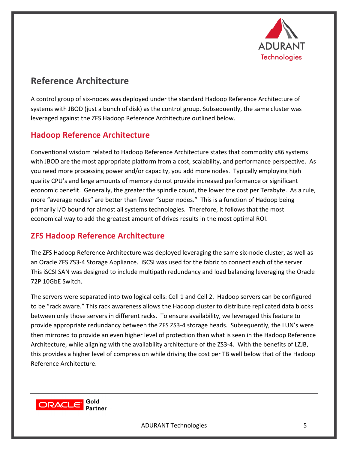

# **Reference Architecture**

A control group of six-nodes was deployed under the standard Hadoop Reference Architecture of systems with JBOD (just a bunch of disk) as the control group. Subsequently, the same cluster was leveraged against the ZFS Hadoop Reference Architecture outlined below.

## **Hadoop Reference Architecture**

Conventional wisdom related to Hadoop Reference Architecture states that commodity x86 systems with JBOD are the most appropriate platform from a cost, scalability, and performance perspective. As you need more processing power and/or capacity, you add more nodes. Typically employing high quality CPU's and large amounts of memory do not provide increased performance or significant economic benefit. Generally, the greater the spindle count, the lower the cost per Terabyte. As a rule, more "average nodes" are better than fewer "super nodes." This is a function of Hadoop being primarily I/O bound for almost all systems technologies. Therefore, it follows that the most economical way to add the greatest amount of drives results in the most optimal ROI.

## **ZFS Hadoop Reference Architecture**

The ZFS Hadoop Reference Architecture was deployed leveraging the same six-node cluster, as well as an Oracle ZFS ZS3-4 Storage Appliance. iSCSI was used for the fabric to connect each of the server. This iSCSI SAN was designed to include multipath redundancy and load balancing leveraging the Oracle 72P 10GbE Switch.

The servers were separated into two logical cells: Cell 1 and Cell 2. Hadoop servers can be configured to be "rack aware." This rack awareness allows the Hadoop cluster to distribute replicated data blocks between only those servers in different racks. To ensure availability, we leveraged this feature to provide appropriate redundancy between the ZFS ZS3-4 storage heads. Subsequently, the LUN's were then mirrored to provide an even higher level of protection than what is seen in the Hadoop Reference Architecture, while aligning with the availability architecture of the ZS3-4. With the benefits of LZJB, this provides a higher level of compression while driving the cost per TB well below that of the Hadoop Reference Architecture. 

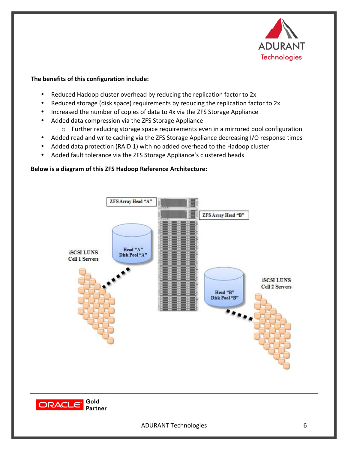

#### The benefits of this configuration include:

- Reduced Hadoop cluster overhead by reducing the replication factor to 2x
- Reduced storage (disk space) requirements by reducing the replication factor to 2x
- Increased the number of copies of data to 4x via the ZFS Storage Appliance
- Added data compression via the ZFS Storage Appliance
	- $\circ$  Further reducing storage space requirements even in a mirrored pool configuration
- Added read and write caching via the ZFS Storage Appliance decreasing I/O response times
- Added data protection (RAID 1) with no added overhead to the Hadoop cluster
- Added fault tolerance via the ZFS Storage Appliance's clustered heads

#### **Below is a diagram of this ZFS Hadoop Reference Architecture:**

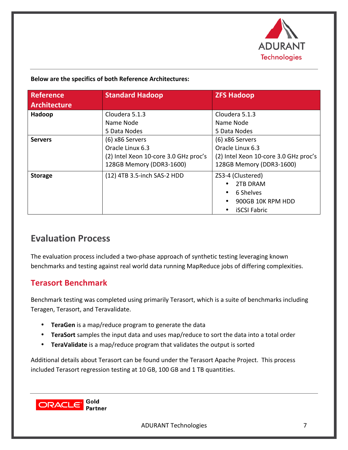

#### **Below are the specifics of both Reference Architectures:**

| <b>Reference</b><br><b>Architecture</b> | <b>Standard Hadoop</b>                                                                                   | <b>ZFS Hadoop</b>                                                                                        |
|-----------------------------------------|----------------------------------------------------------------------------------------------------------|----------------------------------------------------------------------------------------------------------|
| Hadoop                                  | Cloudera 5.1.3<br>Name Node<br>5 Data Nodes                                                              | Cloudera 5.1.3<br>Name Node<br>5 Data Nodes                                                              |
| <b>Servers</b>                          | (6) x86 Servers<br>Oracle Linux 6.3<br>(2) Intel Xeon 10-core 3.0 GHz proc's<br>128GB Memory (DDR3-1600) | (6) x86 Servers<br>Oracle Linux 6.3<br>(2) Intel Xeon 10-core 3.0 GHz proc's<br>128GB Memory (DDR3-1600) |
| <b>Storage</b>                          | (12) 4TB 3.5-inch SAS-2 HDD                                                                              | ZS3-4 (Clustered)<br>2TB DRAM<br>6 Shelves<br>900GB 10K RPM HDD<br><b>iSCSI Fabric</b>                   |

## **Evaluation Process**

The evaluation process included a two-phase approach of synthetic testing leveraging known benchmarks and testing against real world data running MapReduce jobs of differing complexities.

### **Terasort Benchmark**

Benchmark testing was completed using primarily Terasort, which is a suite of benchmarks including Teragen, Terasort, and Teravalidate.

- TeraGen is a map/reduce program to generate the data
- TeraSort samples the input data and uses map/reduce to sort the data into a total order
- **TeraValidate** is a map/reduce program that validates the output is sorted

Additional details about Terasort can be found under the Terasort Apache Project. This process included Terasort regression testing at 10 GB, 100 GB and 1 TB quantities.

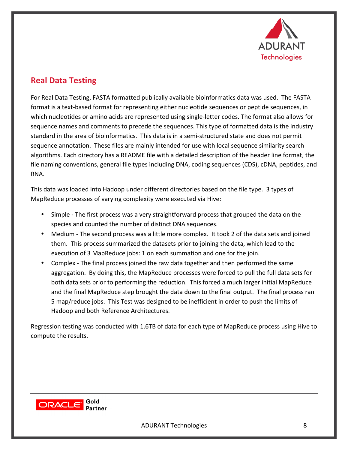

## **Real Data Testing**

For Real Data Testing, FASTA formatted publically available bioinformatics data was used. The FASTA format is a text-based format for representing either nucleotide sequences or peptide sequences, in which nucleotides or amino acids are represented using single-letter codes. The format also allows for sequence names and comments to precede the sequences. This type of formatted data is the industry standard in the area of bioinformatics. This data is in a semi-structured state and does not permit sequence annotation. These files are mainly intended for use with local sequence similarity search algorithms. Each directory has a README file with a detailed description of the header line format, the file naming conventions, general file types including DNA, coding sequences (CDS), cDNA, peptides, and RNA.

This data was loaded into Hadoop under different directories based on the file type. 3 types of MapReduce processes of varying complexity were executed via Hive:

- Simple The first process was a very straightforward process that grouped the data on the species and counted the number of distinct DNA sequences.
- Medium The second process was a little more complex. It took 2 of the data sets and joined them. This process summarized the datasets prior to joining the data, which lead to the execution of 3 MapReduce jobs: 1 on each summation and one for the join.
- Complex The final process joined the raw data together and then performed the same aggregation. By doing this, the MapReduce processes were forced to pull the full data sets for both data sets prior to performing the reduction. This forced a much larger initial MapReduce and the final MapReduce step brought the data down to the final output. The final process ran 5 map/reduce jobs. This Test was designed to be inefficient in order to push the limits of Hadoop and both Reference Architectures.

Regression testing was conducted with 1.6TB of data for each type of MapReduce process using Hive to compute the results.

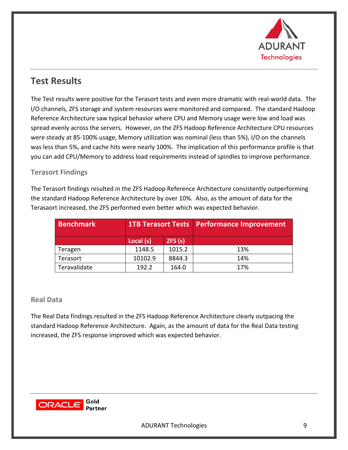

# **Test Results**

The Test results were positive for the Terasort tests and even more dramatic with real-world data. The I/O channels, ZFS storage and system resources were monitored and compared. The standard Hadoop Reference Architecture saw typical behavior where CPU and Memory usage were low and load was spread evenly across the servers. However, on the ZFS Hadoop Reference Architecture CPU resources were steady at 85-100% usage, Memory utilization was nominal (less than 5%), I/O on the channels was less than 5%, and cache hits were nearly 100%. The implication of this performance profile is that you can add CPU/Memory to address load requirements instead of spindles to improve performance.

#### **Terasort Findings**

The Terasort findings resulted in the ZFS Hadoop Reference Architecture consistently outperforming the standard Hadoop Reference Architecture by over 10%. Also, as the amount of data for the Terasaort increased, the ZFS performed even better which was expected behavior.

| <b>Benchmark</b> |           |        | <b>1TB Terasort Tests   Performance Improvement</b> |
|------------------|-----------|--------|-----------------------------------------------------|
|                  | Local (s) | ZFS(s) |                                                     |
| Teragen          | 1148.5    | 1015.2 | 13%                                                 |
| Terasort         | 10102.9   | 8844.3 | 14%                                                 |
| Teravalidate     | 192.2     | 164.0  | 17%                                                 |

#### **Real Data**

The Real Data findings resulted in the ZFS Hadoop Reference Architecture clearly outpacing the standard Hadoop Reference Architecture. Again, as the amount of data for the Real Data testing increased, the ZFS response improved which was expected behavior.